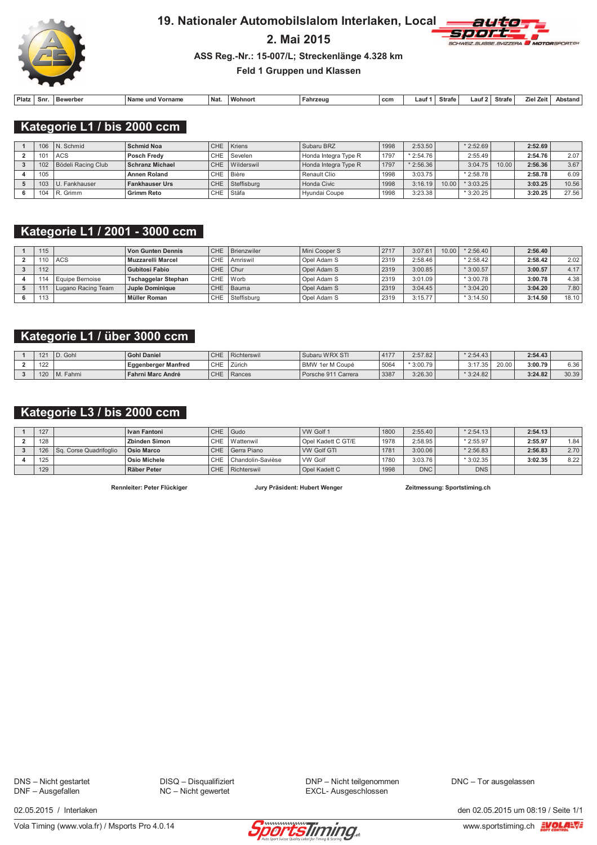

### 19. Nationaler Automobilslalom Interlaken, Local

# 2. Mai 2015



ASS Reg.-Nr.: 15-007/L; Streckenlänge 4.328 km

Feld 1 Gruppen und Klassen

| Platz | Snr. | Bewerber | Name<br>und Vorname ، | Nat. | <b>Wohnon</b> | Fahrzeud | ccm | ∟aut∵ | <b>Strafe</b> | ∟auf 2 | Strafe | al Zeit.<br>7iel. | Abstand |
|-------|------|----------|-----------------------|------|---------------|----------|-----|-------|---------------|--------|--------|-------------------|---------|

Kategorie L1 / bis 2000 ccm

|     | $106$   N. Schmid        | <b>Schmid Noa</b>      |           | CHE Kriens     | Subaru BRZ           | 1998 | 2:53.50    |      | $*2:52.69$ |       | 2:52.69 |       |
|-----|--------------------------|------------------------|-----------|----------------|----------------------|------|------------|------|------------|-------|---------|-------|
| 101 | <b>ACS</b>               | Posch Fredv            |           | CHE Sevelen    | Honda Integra Type R | 1797 | $*2:54.76$ |      | 2:55.49    |       | 2:54.76 | 2.07  |
|     | 102   Bödeli Racing Club | <b>Schranz Michael</b> |           | CHE Wilderswil | Honda Integra Type R | 1797 | $*2:56.36$ |      | 3:04.75    | 10.00 | 2:56.36 | 3.67  |
| 105 |                          | <b>Annen Roland</b>    | CHE Bière |                | Renault Clio         | 1998 | 3:03.75    |      | $*2:58.78$ |       | 2:58.78 | 6.09  |
|     | 103 U. Fankhauser        | <b>Fankhauser Urs</b>  | CHE       | Steffisburg    | Honda Civic          | 1998 | 3:16.19    | 0.00 | $*3:03.25$ |       | 3:03.25 | 10.56 |
|     | 104 $\,$ R. Grimm        | <b>Grimm Reto</b>      | CHE       | Stäfa          | Hvundai Coupe        | 1998 | 3:23.38    |      | $*3:20.25$ |       | 3:20.25 | 27.56 |

### Kategorie L1 / 2001 - 3000 ccm

| 115 |                    | Von Gunten Dennis   |          | CHE Brienzwiler | Mini Cooper S | 2717 | 3:07.61 | 10.00 | $*2:56.40$ | 2:56.40 |       |
|-----|--------------------|---------------------|----------|-----------------|---------------|------|---------|-------|------------|---------|-------|
|     | ACS                | Muzzarelli Marcel   | CHE      | Amriswil        | Opel Adam S   | 2319 | 2:58.46 |       | $*2:58.42$ | 2:58.42 | 2.02  |
| 112 |                    | Gubitosi Fabio      | CHE Chur |                 | Opel Adam S   | 2319 | 3:00.85 |       | $*3:00.57$ | 3:00.57 | 4.17  |
|     | Equipe Bernoise    | Tschaggelar Stephan |          | CHE Worb        | Opel Adam S   | 2319 | 3:01.09 |       | $*3:00.78$ | 3:00.78 | 4.38  |
|     | Lugano Racing Team | Juple Dominique     |          | CHE Bauma       | Opel Adam S   | 2319 | 3:04.45 |       | $*3:04.20$ | 3:04.20 | 7.80  |
| 113 |                    | Müller Roman        | CHE      | Steffisburg     | Opel Adam S   | 2319 | 3:15.77 |       | $*3:14.50$ | 3:14.50 | 18.10 |

#### Kategorie L1 / über 3000 ccm

| $\Lambda$ $\Omega$ | Gohl<br>$\overline{\phantom{0}}$<br>$\overline{\phantom{a}}$ | <b>Gohl Daniel</b>         | CHE | Richterswin | Subaru WRX STI            | $A + T'$ | 2:57.82   | $*2:54.43$         |       | 2:54.43 |       |
|--------------------|--------------------------------------------------------------|----------------------------|-----|-------------|---------------------------|----------|-----------|--------------------|-------|---------|-------|
| 100<br>144         |                                                              | <b>Eggenberger Manfred</b> | CHE | Zürich      | 1er M Coupé<br><b>BMW</b> | 5064     | * 3:00.79 | 9.47<br>$\cup$ . 1 | 20.00 | 3:00.79 | 6.36  |
| $\Delta$           | Fahrni<br>$M_{\odot}$                                        | <b>Fahrni Marc André</b>   | CHE | Rances      | Porsche 911 Carrera       | 3387     | 3:26.30   | $*3:24.82$         |       | 3:24.82 | 30.39 |

### Kategorie L3 / bis 2000 ccm

| 127 |                              | <b>Ivan Fantoni</b> | CHE Gudo |                   | VW Golf 1          | 1800 | 2:55.40    | $*2:54.13$ | 2:54.13 |      |
|-----|------------------------------|---------------------|----------|-------------------|--------------------|------|------------|------------|---------|------|
| 128 |                              | Zbinden Simon       |          | CHE Wattenwil     | Opel Kadett C GT/E | 1978 | 2:58.95    | $*2:55.97$ | 2:55.97 | 1.84 |
|     | 126   Sq. Corse Quadrifoglio | <b>Osio Marco</b>   |          | CHE Gerra Piano   | WW Golf GTI        | 1781 | 3:00.06    | $*2:56.83$ | 2:56.83 | 2.70 |
| 125 |                              | Osio Michele        | CHE      | Chandolin-Savièse | <b>VW Golf</b>     | 1780 | 3:03.76    | $*3:02.35$ | 3:02.35 | 8.22 |
| 129 |                              | Räber Peter         | CHE      | Richterswil       | Opel Kadett C      | 1998 | <b>DNC</b> | <b>DNS</b> |         |      |

Rennleiter: Peter Flückiger

Jury Präsident: Hubert Wenger

Zeitmessung: Sportstiming.ch

DNS - Nicht gestartet<br>DNF - Ausgefallen

DISQ - Disqualifiziert NC - Nicht gewertet

DNP - Nicht teilgenommen EXCL- Ausgeschlossen

DNC - Tor ausgelassen

02.05.2015 / Interlaken



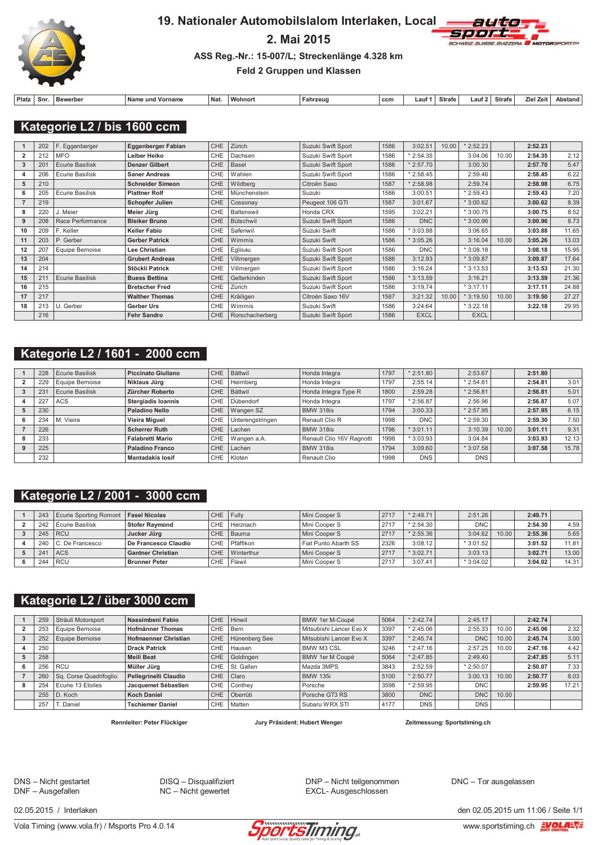

#### 19. Nationaler Automobilslalom Interlaken, Local

### 2. Mai 2015



#### ASS Reg.-Nr.: 15-007/L; Streckenlänge 4.328 km

#### Feld 2 Gruppen und Klassen

| Platz | Snr. | Bewerber | Nam<br>, und Vorname | Nat. | <b>Wohnor</b> | Fahrzeud | ccn | ∟aut∵ | Strafe | ∟aut ' | Strafe | . Zeit<br>7iel. | Abstand |
|-------|------|----------|----------------------|------|---------------|----------|-----|-------|--------|--------|--------|-----------------|---------|

Kategorie L2 / bis 1600 ccm

|    | 202          | F. Eggenberger         | Eggenberger Fabian      | <b>CHE</b> | Zürich          | Suzuki Swift Sport | 1586 | 3:02.51     | 10.00 | $*2:52.23$  |       | 2:52.23 |       |
|----|--------------|------------------------|-------------------------|------------|-----------------|--------------------|------|-------------|-------|-------------|-------|---------|-------|
|    | 212          | <b>MFO</b>             | Leiber Heiko            | CHE        | Dachsen         | Suzuki Swift Sport | 1586 | $*2:54.35$  |       | 3:04.06     | 10.00 | 2:54.35 | 2.12  |
| 3  | $20^{\circ}$ | Ecurie Basilisk        | <b>Denzer Gilbert</b>   | <b>CHE</b> | <b>Basel</b>    | Suzuki Swift Sport | 1586 | $*2:57.70$  |       | 3:00.30     |       | 2:57.70 | 5.47  |
|    | 206          | Ecurie Basilisk        | <b>Saner Andreas</b>    | CHE        | Wahlen          | Suzuki Swift Sport | 1586 | $*2:58.45$  |       | 2:59.46     |       | 2:58.45 | 6.22  |
| 5  | 210          |                        | <b>Schneider Simeon</b> | CHE        | Wildberg        | Citroën Saxo       | 1587 | $*2:58.98$  |       | 2:59.74     |       | 2:58.98 | 6.75  |
|    | 205          | Ecurie Basilisk        | <b>Plattner Rolf</b>    | CHE        | Münchenstein    | Suzuki             | 1586 | 3:00.51     |       | $*2:59.43$  |       | 2:59.43 | 7.20  |
|    | 219          |                        | <b>Schopfer Julien</b>  | CHE        | Cossonay        | Peugeot 106 GTI    | 1587 | 3:01.67     |       | $*3:00.62$  |       | 3:00.62 | 8.39  |
|    | 220          | J. Meier               | Meier Jürg              | CHE        | Baltenswil      | Honda CRX          | 1595 | 3:02.21     |       | $*3:00.75$  |       | 3:00.75 | 8.52  |
| 9  | 208          | Race Performance       | <b>Bleiker Bruno</b>    | CHE        | Bütschwil       | Suzuki Swift Sport | 1586 | <b>DNC</b>  |       | $*3:00.96$  |       | 3:00.96 | 8.73  |
| 10 | 209          | F. Keller              | <b>Keller Fabio</b>     | CHE        | Safenwil        | Suzuki Swift       | 1586 | 3:03.88     |       | 3:06.65     |       | 3:03.88 | 11.65 |
| 11 | 203          | P. Gerber              | <b>Gerber Patrick</b>   | <b>CHE</b> | Wimmis          | Suzuki Swift       | 1586 | $*3:05.26$  |       | 3:16.04     | 10.00 | 3:05.26 | 13.03 |
| 12 | 207          | Equipe Bernoise        | Lee Christian           | <b>CHE</b> | Eglisau         | Suzuki Swift Sport | 1586 | <b>DNC</b>  |       | $*3:08.18$  |       | 3:08.18 | 15.95 |
| 13 | 204          |                        | <b>Grubert Andreas</b>  | CHE        | Villmergen      | Suzuki Swift Sport | 1586 | 3:12.93     |       | $*3:09.87$  |       | 3:09.87 | 17.64 |
| 14 | 214          |                        | Stöckli Patrick         | CHE        | Villmergen      | Suzuki Swift Sport | 1586 | 3:16.24     |       | $*3:13.53$  |       | 3:13.53 | 21.30 |
| 15 | 21'          | <b>Ecurie Basilisk</b> | <b>Buess Bettina</b>    | <b>CHE</b> | Gelterkinden    | Suzuki Swift Sport | 1586 | $*3:13.59$  |       | 3:16.21     |       | 3:13.59 | 21.36 |
| 16 | 215          |                        | <b>Bretscher Fred</b>   | CHE        | Zürich          | Suzuki Swift Sport | 1586 | 3:19.74     |       | $*3:17.11$  |       | 3:17.11 | 24.88 |
| 17 | 217          |                        | <b>Walther Thomas</b>   | CHE        | Kräiligen       | Citroën Saxo 16V   | 1587 | 3:21.32     | 10.00 | $*3:19.50$  | 10.00 | 3:19.50 | 27.27 |
| 18 | 213          | U. Gerber              | Gerber Urs              | CHE        | Wimmis          | Suzuki Swift       | 1586 | 3:24.64     |       | * 3:22.18   |       | 3:22.18 | 29.95 |
|    | 216          |                        | <b>Fehr Sandro</b>      | <b>CHE</b> | Rorschacherberg | Suzuki Swift Sport | 1586 | <b>EXCL</b> |       | <b>EXCL</b> |       |         |       |

### Kategorie L2 / 1601 - 2000 ccm

| 228 | <b>Ecurie Basilisk</b> | <b>Piccinato Giuliano</b> | CHE        | <b>Bättwil</b>   | Honda Integra             | 1797 | $*2:51.80$ | 2:53.67     |       | 2:51.80 |       |
|-----|------------------------|---------------------------|------------|------------------|---------------------------|------|------------|-------------|-------|---------|-------|
| 229 | Equipe Bernoise        | Niklaus Jürg              | <b>CHE</b> | Heimberg         | Honda Integra             | 1797 | 2:55.14    | $*2:54.81$  |       | 2:54.81 | 3.01  |
| 23  | <b>Ecurie Basilisk</b> | Zürcher Roberto           | <b>CHE</b> | <b>Bättwil</b>   | Honda Integra Type R      | 1800 | 2:59.28    | $*2:56.81$  |       | 2:56.81 | 5.01  |
| 227 | <b>ACS</b>             | <b>Stergiadis Ioannis</b> | <b>CHE</b> | Dübendorf        | Honda Integra             | 1797 | $*2:56.87$ | 2:56.96     |       | 2:56.87 | 5.07  |
| 230 |                        | <b>Paladino Nello</b>     | CHE        | Wangen SZ        | <b>BMW 318is</b>          | 1794 | 3:00.33    | $*2:57.95$  |       | 2:57.95 | 6.15  |
| 234 | M. Vieira              | Vieira Miguel             | <b>CHE</b> | Unterengstringen | Renault Clio R            | 1998 | <b>DNC</b> | $*$ 2:59.30 |       | 2:59.30 | 7.50  |
| 226 |                        | <b>Scherrer Ruth</b>      | CHE        | Lachen           | <b>BMW 318is</b>          | 1796 | $*3:01.11$ | 3:10.39     | 10.00 | 3:01.11 | 9.31  |
| 233 |                        | <b>Falabretti Mario</b>   | <b>CHE</b> | Wangen a.A.      | Renault Clio 16V Ragnotti | 1998 | $*3:03.93$ | 3:04.84     |       | 3:03.93 | 12.13 |
| 225 |                        | <b>Paladino Franco</b>    | CHE        | Lachen           | <b>BMW 318is</b>          | 1794 | 3:09.60    | $*3:07.58$  |       | 3:07.58 | 15.78 |
| 232 |                        | <b>Mantadakis losif</b>   | CHE.       | Kloten           | Renault Clio              | 1998 | <b>DNS</b> | <b>DNS</b>  |       |         |       |

# Kategorie L2 / 2001 - 3000 ccm

| 243 | Ecurie Sporting Romont | <b>Fasel Nicolas</b>     | CHE Fully |                | Mini Cooper S        | 2717 | $*2:49.71$  | 2:51.26    |       | 2:49.71 |       |
|-----|------------------------|--------------------------|-----------|----------------|----------------------|------|-------------|------------|-------|---------|-------|
| 242 | Ecurie Basilisk        | <b>Stofer Raymond</b>    | CHE       | Herznach       | Mini Cooper S        | 2717 | $*$ 2:54.30 | <b>DNC</b> |       | 2:54.30 | 4.59  |
| 245 | <b>RCU</b>             | Jucker Jüra              |           | CHE Bauma      | Mini Cooper S        | 2717 | $*2:55.36$  | 3:04.62    | 10.00 | 2:55.36 | 5.65  |
|     | 240 C. De Francesco    | De Francesco Claudio     | CHE       | Pfäffikon      | Fiat Punto Abarth SS | 2326 | 3:08.12     | $*3:01.52$ |       | 3:01.52 | 11.81 |
| 241 | <b>ACS</b>             | <b>Gantner Christian</b> |           | CHE Winterthur | Mini Cooper S        | 2717 | $*3:02.71$  | 3:03.13    |       | 3:02.71 | 13.00 |
| 244 | <b>RCU</b>             | <b>Brunner Peter</b>     | CHE       | Flawil         | Mini Cooper S        | 2717 | 3:07.41     | $*3:04.02$ |       | 3:04.02 | 14.31 |

# Kategorie L2 / über 3000 ccm

| 259 | Sträuli Motorsport     | Nassimbeni Fabio            | CHE.       | Hinwil        | BMW 1er M-Coupé         | 5064 | $*2:42.74$ | 2:45.17    |       | 2:42.74 |       |
|-----|------------------------|-----------------------------|------------|---------------|-------------------------|------|------------|------------|-------|---------|-------|
| 253 | Equipe Bernoise        | <b>Hofmänner Thomas</b>     | CHE        | Bern          | Mitsubishi Lancer Evo X | 3397 | $*2:45.06$ | 2:55.33    | 10.00 | 2:45.06 | 2.32  |
| 252 | Equipe Bernoise        | <b>Hofmaenner Christian</b> | CHE        | Hünenberg See | Mitsubishi Lancer Evo X | 3397 | $*2:45.74$ | <b>DNC</b> | 10.00 | 2:45.74 | 3.00  |
| 250 |                        | <b>Drack Patrick</b>        | CHE        | Hausen        | <b>BMW M3 CSL</b>       | 3246 | $*2:47.16$ | 2:57.25    | 10.00 | 2:47.16 | 4.42  |
| 258 |                        | <b>Meili Beat</b>           | <b>CHE</b> | Goldingen     | BMW 1er M Coupé         | 5064 | $*2:47.85$ | 2:49.40    |       | 2:47.85 | 5.11  |
| 256 | <b>RCU</b>             | Müller Jürg                 | CHE        | St. Gallen    | Mazda 3MPS              | 3843 | 2:52.59    | $*2:50.07$ |       | 2:50.07 | 7.33  |
| 260 | Sq. Corse Quadrifoglio | Pellegrinelli Claudio       | <b>CHE</b> | Claro         | <b>BMW 135i</b>         | 5100 | $*2:50.77$ | 3:00.13    | 10.00 | 2:50.77 | 8.03  |
| 254 | Ecurie 13 Etoiles      | Jacquemet Sébastien         | CHE        | Conthev       | Porsche                 | 3598 | $*2:59.95$ | <b>DNC</b> |       | 2:59.95 | 17.21 |
| 255 | D. Koch                | <b>Koch Daniel</b>          | <b>CHE</b> | Oberrüti      | Porsche GT3 RS          | 3800 | <b>DNC</b> | <b>DNC</b> | 10.00 |         |       |
| 257 | T. Daniel              | <b>Tschiemer Daniel</b>     | CHE        | Matten        | Subaru WRX STI          | 4177 | <b>DNS</b> | <b>DNS</b> |       |         |       |

Rennleiter: Peter Flückiger

Jury Präsident: Hubert Wenger

Zeitmessung: Sportstiming.ch

DNS - Nicht gestartet<br>DNF - Ausgefallen

DISQ - Disqualifiziert NC - Nicht gewertet

DNP - Nicht teilgenommen EXCL- Ausgeschlossen

DNC - Tor ausgelassen

02.05.2015 / Interlaken



den 02.05.2015 um 11:06 / Seite 1/1 www.sportstiming.ch EVOLA=V=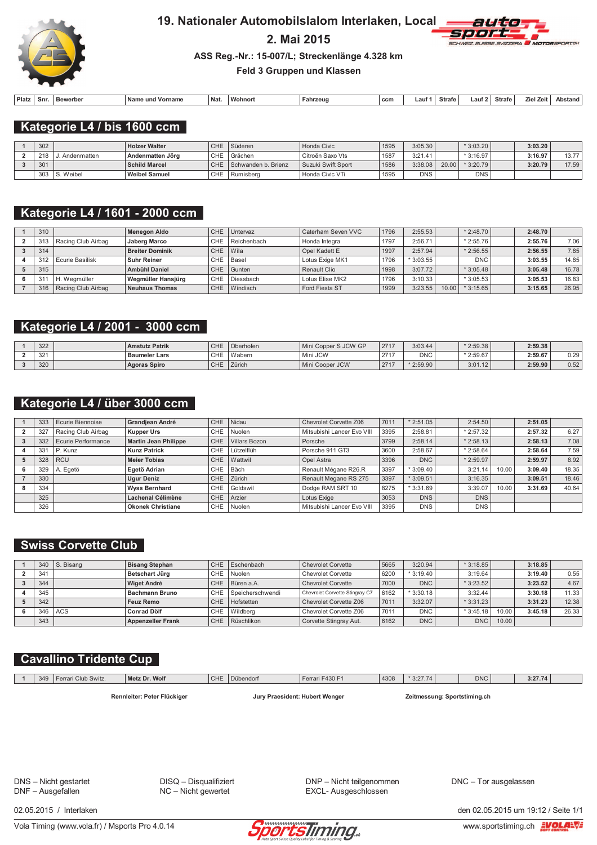

#### 19. Nationaler Automobilslalom Interlaken, Local

### 2. Mai 2015



ASS Reg.-Nr.: 15-007/L; Streckenlänge 4.328 km

Feld 3 Gruppen und Klassen

| Platz | Snr. | Bewerber | Nam<br>Vorname<br>und | Nat. | <b>Mohnor</b> | Fahrzeud | ccn | ∟aut∶ | Strafe | ∟aut ' | Strafe | . Zei'<br>7iel | Abstand |
|-------|------|----------|-----------------------|------|---------------|----------|-----|-------|--------|--------|--------|----------------|---------|

Kategorie L4 / bis 1600 ccm

| 302 |               | <b>Holzer Walter</b> | CHE | Süderen             | Honda Civic        | 1595 | 3:05.30    |       | $*3:03.20$ | 3:03.20 |       |
|-----|---------------|----------------------|-----|---------------------|--------------------|------|------------|-------|------------|---------|-------|
| 218 | . Andenmatten | Andenmatten Jörg     | CHE | l Grächen           | Citroën Saxo Vts   | 1587 | 3:21.41    |       | $*3:16.97$ | 3:16.97 | 12.77 |
| 301 |               | <b>Schild Marcel</b> | CHE | Schwanden b. Brienz | Suzuki Swift Sport | 1586 | 3:38.08    | 20.00 | $*3:20.79$ | 3:20.79 | 17.59 |
| 303 | S. Weibel     | <b>Weibel Samuel</b> | CHE | Rumisbera           | Honda Civic VTi    | 1595 | <b>DNS</b> |       | <b>DNS</b> |         |       |

### Kategorie L4 / 1601 - 2000 ccm

| 310 |                    | Menegon Aldo           | CHE.       | Untervaz    | Caterham Seven VVC  | 1796 | 2:55.53    |      | $*$ 2:48.70 | 2:48.70 |       |
|-----|--------------------|------------------------|------------|-------------|---------------------|------|------------|------|-------------|---------|-------|
| 313 | Racing Club Airbag | <b>Jaberg Marco</b>    | <b>CHE</b> | Reichenbach | Honda Integra       | 1797 | 2:56.71    |      | $*2:55.76$  | 2:55.76 | 7.06  |
| 314 |                    | <b>Breiter Dominik</b> | CHE.       | Wila        | Opel Kadett E       | 1997 | 2:57.94    |      | $*2:56.55$  | 2:56.55 | 7.85  |
| 312 | Ecurie Basilisk    | <b>Suhr Reiner</b>     | CHE        | Basel       | I Lotus Exige MK1   | 1796 | $*3:03.55$ |      | <b>DNC</b>  | 3:03.55 | 14.85 |
| 315 |                    | <b>Ambühl Daniel</b>   | CHE.       | Gunten      | <b>Renault Clio</b> | 1998 | 3:07.72    |      | $*3:05.48$  | 3:05.48 | 16.78 |
| 31  | H. Weamüller       | Wegmüller Hansjürg     | CHE.       | Diessbach   | Lotus Elise MK2     | 1796 | 3:10.33    |      | $*3:05.53$  | 3:05.53 | 16.83 |
| 316 | Racing Club Airbag | Neuhaus Thomas         | <b>CHE</b> | Windisch    | Ford Fiesta ST      | 1999 | 3:23.55    | 0.00 | $*3:15.65$  | 3:15.65 | 26.95 |

#### Kategorie L4 / 2001 - 3000 ccm

| 322          | <b>Amstutz Patrik</b> | CHE | Oberhofen | Mini Copper S JCW GP | 271' | 3:03.44    | $*2:59.38$ | 2:59.38 |      |
|--------------|-----------------------|-----|-----------|----------------------|------|------------|------------|---------|------|
| 321<br>. عدب | <b>Baumeler Lars</b>  | CHE | Wabern    | Mini JCW             | 0747 | <b>DNC</b> | $*2:59.67$ | 2:59.67 | 0.29 |
| 320          | <b>Agoras Spiro</b>   | CHE | Zürich    | Mini Cooper JCW      | 271' | $*2:59.90$ | 3:01.12    | 2:59.90 | 0.52 |

### Kategorie L4 / über 3000 ccm

| 333             | Ecurie Biennoise   | Grandjean André             | CHE.       | Nidau         | Chevrolet Corvette Z06     | 7011 | $*2:51.05$ | 2:54.50    |       | 2:51.05 |       |
|-----------------|--------------------|-----------------------------|------------|---------------|----------------------------|------|------------|------------|-------|---------|-------|
| 32              | Racing Club Airbag | <b>Kupper Urs</b>           | CHE        | Nuolen        | Mitsubishi Lancer Evo VIII | 3395 | 2:58.81    | $*2:57.32$ |       | 2:57.32 | 6.27  |
| 332             | Ecurie Performance | <b>Martin Jean Philippe</b> | <b>CHE</b> | Villars Bozon | Porsche                    | 3799 | 2:58.14    | $*2:58.13$ |       | 2:58.13 | 7.08  |
| 33 <sup>1</sup> | P. Kunz            | <b>Kunz Patrick</b>         | <b>CHE</b> | Lützelflüh    | Porsche 911 GT3            | 3600 | 2:58.67    | $*2:58.64$ |       | 2:58.64 | 7.59  |
| 328             | <b>RCU</b>         | <b>Meier Tobias</b>         | CHE        | Wattwil       | Opel Astra                 | 3396 | <b>DNC</b> | $*2:59.97$ |       | 2:59.97 | 8.92  |
| 329             | A. Egetö           | Egetö Adrian                | CHE.       | Bäch          | Renault Mégane R26.R       | 3397 | $*3:09.40$ | 3:21.14    | 10.00 | 3:09.40 | 18.35 |
| 330             |                    | <b>Uaur Deniz</b>           | CHE        | Zürich        | Renault Megane RS 275      | 3397 | $*3:09.51$ | 3:16.35    |       | 3:09.51 | 18.46 |
| 334             |                    | <b>Wyss Bernhard</b>        | CHE        | Goldswil      | Dodge RAM SRT 10           | 8275 | $*3:31.69$ | 3:39.07    | 10.00 | 3:31.69 | 40.64 |
| 325             |                    | Lachenal Célimène           | CHE        | Arzier        | Lotus Exige                | 3053 | <b>DNS</b> | <b>DNS</b> |       |         |       |
| 326             |                    | <b>Okonek Christiane</b>    | CHE        | Nuolen        | Mitsubishi Lancer Evo VIII | 3395 | <b>DNS</b> | <b>DNS</b> |       |         |       |

#### **Swiss Corvette Club**

|     | 340 $\vert$ S. Bisang | <b>Bisang Stephan</b>    |            | CHE Eschenbach   | Chevrolet Corvette             | 5665 | 3:20.94    | $*3:18.85$ |       | 3:18.85 |       |
|-----|-----------------------|--------------------------|------------|------------------|--------------------------------|------|------------|------------|-------|---------|-------|
| 341 |                       | Betschart Jürg           | CHE        | Nuolen           | <b>Chevrolet Corvette</b>      | 6200 | $*3:19.40$ | 3:19.64    |       | 3:19.40 | 0.55  |
| 344 |                       | <b>Wiget André</b>       |            | CHE Büren a.A.   | <b>Chevrolet Corvette</b>      | 7000 | <b>DNC</b> | $*3:23.52$ |       | 3:23.52 | 4.67  |
| 345 |                       | <b>Bachmann Bruno</b>    | CHE        | Speicherschwendi | Chevrolet Corvette Stingray C7 | 6162 | $*3:30.18$ | 3:32.44    |       | 3:30.18 | 11.33 |
| 342 |                       | Feuz Remo                | CHE        | Hofstetten       | Chevrolet Corvette Z06         | 7011 | 3:32.07    | $*3:31.23$ |       | 3:31.23 | 12.38 |
| 346 | ACS                   | <b>Conrad Dölf</b>       | CHE        | Wildberg         | Chevrolet Corvette Z06         | 7011 | <b>DNC</b> | $*3:45.18$ | 10.00 | 3:45.18 | 26.33 |
| 343 |                       | <b>Appenzeller Frank</b> | <b>CHE</b> | Rüschlikon       | Corvette Stingray Aut.         | 6162 | <b>DNC</b> | <b>DNC</b> | 10.00 |         |       |

### **Cavallino Tridente Cup**

|  | 349<br>Ferrari Club Switz. |  | Metz Dr. Wolf               | <b>CHE</b> | Dübendorf                      | LEerrari F430 F <sup>4</sup> | 4308 | $*3:27.74$ | <b>DNC</b>                   | 3:27.74 |  |
|--|----------------------------|--|-----------------------------|------------|--------------------------------|------------------------------|------|------------|------------------------------|---------|--|
|  |                            |  | Rennleiter: Peter Flückiger |            | Jury Praesident: Hubert Wenger |                              |      |            | Zeitmessung: Sportstiming.ch |         |  |

DNS - Nicht gestartet<br>DNF - Ausgefallen

DISQ - Disqualifiziert NC - Nicht gewertet

DNP - Nicht teilgenommen EXCL- Ausgeschlossen

DNC - Tor ausgelassen

02.05.2015 / Interlaken



den 02.05.2015 um 19:12 / Seite 1/1 www.sportstiming.ch EVOLA=V=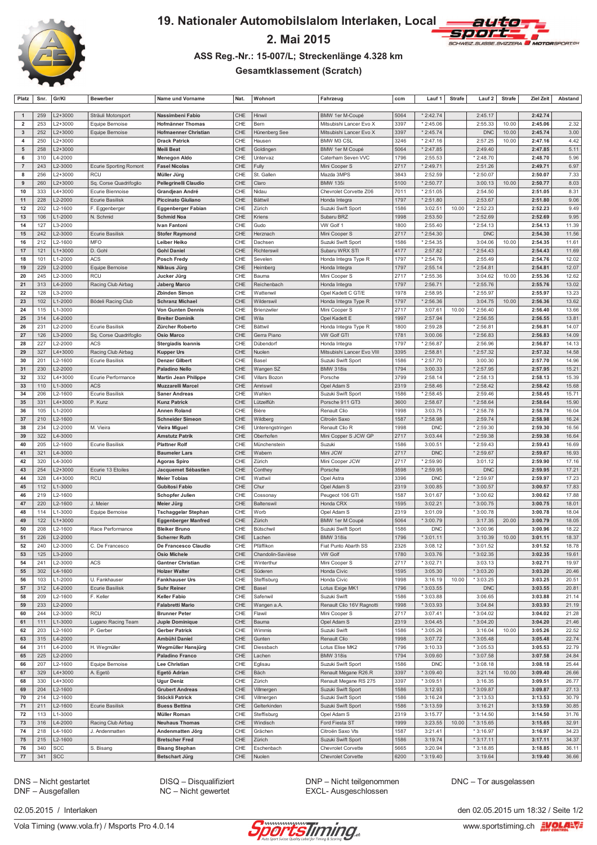

 $\sqrt{2}$ 

### 19. Nationaler Automobilslalom Interlaken, Local





#### ASS Reg.-Nr.: 15-007/L; Streckenlänge 4.328 km

**Gesamtklassement (Scratch)** 

| Platz             | Snr.       | Gr/KI                      | <b>Bewerber</b>               | Name und Vorname                                | Nat.       | Wohnort                         | Fahrzeug                                     | ccm          | Lauf 1                   | <b>Strafe</b> | Lauf 2                 | <b>Strafe</b>  | Ziel Zeit          | Abstand        |
|-------------------|------------|----------------------------|-------------------------------|-------------------------------------------------|------------|---------------------------------|----------------------------------------------|--------------|--------------------------|---------------|------------------------|----------------|--------------------|----------------|
|                   |            |                            |                               |                                                 |            |                                 |                                              |              |                          |               |                        |                |                    |                |
| $\overline{1}$    | 259        | L2+3000                    | Sträuli Motorsport            | Nassimbeni Fabio                                | CHE        | Hinwil                          | BMW 1er M-Coupé                              | 5064         | $*2:42.74$               |               | 2:45.17                |                | 2:42.74            |                |
| $\overline{2}$    | 253        | $L2 + 3000$                | Equipe Bernoise               | <b>Hofmänner Thomas</b>                         | CHE        | Bern                            | Mitsubishi Lancer Evo X                      | 3397         | $*2:45.06$               |               | 2:55.33                | 10.00          | 2:45.06            | 2.32           |
| $\mathbf{3}$<br>4 | 252<br>250 | $L2 + 3000$<br>L2+3000     | Equipe Bernoise               | Hofmaenner Christian<br><b>Drack Patrick</b>    | CHE<br>CHE | Hünenberg See<br>Hausen         | Mitsubishi Lancer Evo X<br><b>BMW M3 CSL</b> | 3397<br>3246 | $*2:45.74$<br>$*2:47.16$ |               | <b>DNC</b><br>2:57.25  | 10.00<br>10.00 | 2:45.74<br>2:47.16 | 3.00<br>4.42   |
| 5                 | 258        | $L2 + 3000$                |                               | <b>Meili Beat</b>                               | CHE        | Goldingen                       | BMW 1er M Coupé                              | 5064         | $*2:47.85$               |               | 2:49.40                |                | 2:47.85            | 5.11           |
| 6                 | 310        | L4-2000                    |                               | <b>Menegon Aldo</b>                             | CHE        | Untervaz                        | Caterham Seven VVC                           | 1796         | 2:55.53                  |               | * 2:48.70              |                | 2:48.70            | 5.96           |
| $\overline{7}$    | 243        | L2-3000                    | <b>Ecurie Sporting Romont</b> | <b>Fasel Nicolas</b>                            | CHE        | Fully                           | Mini Cooper S                                | 2717         | $*2:49.71$               |               | 2:51.26                |                | 2:49.71            | 6.97           |
| 8                 | 256        | L2+3000                    | <b>RCU</b>                    | Müller Jürg                                     | CHE        | St. Gallen                      | Mazda 3MPS                                   | 3843         | 2:52.59                  |               | $*2:50.07$             |                | 2:50.07            | 7.33           |
| 9                 | 260        | L2+3000                    | Sq. Corse Quadrifoglio        | Pellegrinelli Claudio                           | CHE        | Claro                           | <b>BMW 135i</b>                              | 5100         | $*2:50.77$               |               | 3:00.13                | 10.00          | 2:50.77            | 8.03           |
| 10                | 333        | $L4 + 3000$                | Ecurie Biennoise              | Grandjean André                                 | CHE        | Nidau                           | Chevrolet Corvette Z06                       | 7011         | * 2:51.05                |               | 2:54.50                |                | 2:51.05            | 8.31           |
| 11                | 228        | L2-2000                    | <b>Ecurie Basilisk</b>        | <b>Piccinato Giuliano</b>                       | CHE        | <b>Bättwil</b>                  | Honda Integra                                | 1797         | $*2:51.80$               |               | 2:53.67                |                | 2:51.80            | 9.06           |
| 12                | 202        | L2-1600                    | F. Eggenberger                | <b>Eggenberger Fabian</b>                       | CHE        | Zürich                          | Suzuki Swift Sport                           | 1586         | 3:02.51                  | 10.00         | * 2:52.23              |                | 2:52.23            | 9.49           |
| 13                | 106        | $L1 - 2000$                | N. Schmid                     | <b>Schmid Noa</b>                               | CHE        | Kriens                          | Subaru BRZ                                   | 1998         | 2:53.50                  |               | $*2:52.69$             |                | 2:52.69            | 9.95           |
| 14                | 127        | L3-2000                    |                               | Ivan Fantoni                                    | CHE        | Gudo                            | VW Golf 1                                    | 1800         | 2:55.40                  |               | $*2:54.13$             |                | 2:54.13            | 11.39          |
| 15                | 242        | L2-3000                    | Ecurie Basilisk               | <b>Stofer Raymond</b>                           | CHE        | Herznach                        | Mini Cooper S                                | 2717         | $*2:54.30$               |               | <b>DNC</b>             |                | 2:54.30            | 11.56          |
| 16                | 212        | L2-1600                    | <b>MFO</b>                    | Leiber Heiko                                    | CHE        | Dachsen                         | Suzuki Swift Sport                           | 1586         | $*2:54.35$               |               | 3:04.06                | 10.00          | 2:54.35            | 11.61          |
| 17                | 121        | $L1 + 3000$                | D. Gohl                       | <b>Gohl Daniel</b>                              | CHE        | Richterswil                     | Subaru WRX STI                               | 4177         | 2:57.82                  |               | $*2:54.43$             |                | 2:54.43            | 11.69          |
| 18                | 101<br>229 | $L1 - 2000$                | <b>ACS</b>                    | <b>Posch Fredy</b>                              | CHE<br>CHE | Sevelen                         | Honda Integra Type R                         | 1797<br>1797 | * 2:54.76<br>2:55.14     |               | 2:55.49<br>$*2:54.81$  |                | 2:54.76<br>2:54.81 | 12.02<br>12.07 |
| 19<br>20          | 245        | L2-2000<br>L2-3000         | Equipe Bernoise<br>RCU        | Niklaus Jürg<br>Jucker Jürg                     | CHE        | Heimberg<br>Bauma               | Honda Integra<br>Mini Cooper S               | 2717         | 2:55.36                  |               | 3:04.62                | 10.00          | 2:55.36            | 12.62          |
| 21                | 313        | L4-2000                    | Racing Club Airbag            | <b>Jaberg Marco</b>                             | CHE        | Reichenbach                     | Honda Integra                                | 1797         | 2:56.71                  |               | * 2:55.76              |                | 2:55.76            | 13.02          |
| 22                | 128        | L3-2000                    |                               | Zbinden Simon                                   | CHE        | Wattenwil                       | Opel Kadett C GT/E                           | 1978         | 2:58.95                  |               | * 2:55.97              |                | 2:55.97            | 13.23          |
| 23                | 102        | $L1 - 2000$                | Bödeli Racing Club            | <b>Schranz Michael</b>                          | CHE        | Wilderswil                      | Honda Integra Type R                         | 1797         | *2:56.36                 |               | 3:04.75                | 10.00          | 2:56.36            | 13.62          |
| 24                | 115        | L1-3000                    |                               | <b>Von Gunten Dennis</b>                        | CHE        | Brienzwiler                     | Mini Cooper S                                | 2717         | 3:07.61                  | 10.00         | $*2:56.40$             |                | 2:56.40            | 13.66          |
| 25                | 314        | L4-2000                    |                               | <b>Breiter Dominik</b>                          | CHE        | Wila                            | Opel Kadett E                                | 1997         | 2:57.94                  |               | $*2:56.55$             |                | 2:56.55            | 13.81          |
| 26                | 231        | L2-2000                    | Ecurie Basilisk               | Zürcher Roberto                                 | CHE        | Bättwil                         | Honda Integra Type R                         | 1800         | 2:59.28                  |               | * 2:56.81              |                | 2:56.81            | 14.07          |
| 27                | 126        | L3-2000                    | Sq. Corse Quadrifoglio        | <b>Osio Marco</b>                               | CHE        | Gerra Piano                     | <b>VW Golf GTI</b>                           | 1781         | 3:00.06                  |               | * 2:56.83              |                | 2:56.83            | 14.09          |
| 28                | 227        | L2-2000                    | <b>ACS</b>                    | <b>Stergiadis loannis</b>                       | CHE        | Dübendorf                       | Honda Integra                                | 1797         | * 2:56.87                |               | 2:56.96                |                | 2:56.87            | 14.13          |
| 29                | 327        | $L4 + 3000$                | Racing Club Airbag            | <b>Kupper Urs</b>                               | CHE        | Nuolen                          | Mitsubishi Lancer Evo VIII                   | 3395         | 2:58.81                  |               | * 2:57.32              |                | 2:57.32            | 14.58          |
| 30                | 201        | L2-1600                    | <b>Ecurie Basilisk</b>        | <b>Denzer Gilbert</b>                           | CHE        | Basel                           | Suzuki Swift Sport                           | 1586         | * 2:57.70                |               | 3:00.30                |                | 2:57.70            | 14.96          |
| 31                | 230        | L2-2000                    |                               | <b>Paladino Nello</b>                           | CHE        | Wangen SZ                       | <b>BMW 318is</b>                             | 1794         | 3:00.33                  |               | * 2:57.95              |                | 2:57.95            | 15.21          |
| 32                | 332        | L4+3000                    | Ecurie Performance            | <b>Martin Jean Philippe</b>                     | CHE        | <b>Villars Bozon</b>            | Porsche                                      | 3799         | 2:58.14                  |               | * 2:58.13              |                | 2:58.13            | 15.39          |
| 33                | 110        | $L1 - 3000$                | <b>ACS</b>                    | <b>Muzzarelli Marcel</b>                        | CHE        | Amriswil                        | Opel Adam S                                  | 2319         | 2:58.46                  |               | $*2:58.42$             |                | 2:58.42            | 15.68          |
| 34                | 206        | L2-1600                    | <b>Ecurie Basilisk</b>        | <b>Saner Andreas</b>                            | CHE        | Wahlen                          | Suzuki Swift Sport                           | 1586         | * 2:58.45                |               | 2:59.46                |                | 2:58.45            | 15.71          |
| 35                | 331        | L4+3000                    | P. Kunz                       | <b>Kunz Patrick</b>                             | CHE        | Lützelflüh                      | Porsche 911 GT3                              | 3600         | 2:58.67                  |               | $*2:58.64$             |                | 2:58.64            | 15.90          |
| 36                | 105        | $L1 - 2000$                |                               | Annen Roland                                    | CHE        | Bière                           | Renault Clio                                 | 1998         | 3:03.75                  |               | * 2:58.78              |                | 2:58.78            | 16.04          |
| 37<br>38          | 210<br>234 | L2-1600<br>L2-2000         | M. Vieira                     | <b>Schneider Simeon</b>                         | CHE<br>CHE | Wildberg                        | Citroën Saxo<br>Renault Clio R               | 1587<br>1998 | * 2:58.98<br><b>DNC</b>  |               | 2:59.74                |                | 2:58.98<br>2:59.30 | 16.24<br>16.56 |
| 39                | 322        | L4-3000                    |                               | Vieira Miguel<br><b>Amstutz Patrik</b>          | CHE        | Unterengstringen<br>Oberhofen   | Mini Copper S JCW GP                         | 2717         | 3:03.44                  |               | * 2:59.30<br>* 2:59.38 |                | 2:59.38            | 16.64          |
| 40                | 205        | L2-1600                    | Ecurie Basilisk               | <b>Plattner Rolf</b>                            | CHE        | Münchenstein                    | Suzuki                                       | 1586         | 3:00.51                  |               | * 2:59.43              |                | 2:59.43            | 16.69          |
| 41                | 321        | L4-3000                    |                               | <b>Baumeler Lars</b>                            | CHE        | Wabern                          | Mini JCW                                     | 2717         | <b>DNC</b>               |               | * 2:59.67              |                | 2:59.67            | 16.93          |
| 42                | 320        | L4-3000                    |                               | <b>Agoras Spiro</b>                             | CHE        | Zürich                          | Mini Cooper JCW                              | 2717         | *2:59.90                 |               | 3:01.12                |                | 2:59.90            | 17.16          |
| 43                | 254        | L2+3000                    | Ecurie 13 Etoiles             | Jacquemet Sébastien                             | CHE        | Conthey                         | Porsche                                      | 3598         | * 2:59.95                |               | <b>DNC</b>             |                | 2:59.95            | 17.21          |
| 44                | 328        | L4+3000                    | <b>RCU</b>                    | <b>Meier Tobias</b>                             | CHE        | Wattwil                         | Opel Astra                                   | 3396         | <b>DNC</b>               |               | * 2:59.97              |                | 2:59.97            | 17.23          |
| 45                | 112        | L1-3000                    |                               | <b>Gubitosi Fabio</b>                           | CHE        | Chur                            | Opel Adam S                                  | 2319         | 3:00.85                  |               | * 3:00.57              |                | 3:00.57            | 17.83          |
| 46                | 219        | L2-1600                    |                               | <b>Schopfer Julien</b>                          | CHE        | Cossonay                        | Peugeot 106 GTI                              | 1587         | 3:01.67                  |               | * 3:00.62              |                | 3:00.62            | 17.88          |
| 47                | 220        | L2-1600                    | J. Meier                      | Meier Jürg                                      | CHE        | Baltenswil                      | Honda CRX                                    | 1595         | 3:02.21                  |               | $*3:00.75$             |                | 3:00.75            | 18.01          |
| 48                | 114        | L1-3000                    | Equipe Bernoise               | <b>Tschaggelar Stephan</b>                      | CHE        | Worb                            | Opel Adam S                                  | 2319         | 3:01.09                  |               | * 3:00.78              |                | 3:00.78            | 18.04          |
| 49                | 122        | $L1 + 3000$                |                               | <b>Eggenberger Manfred</b>                      | CHE        | Zürich                          | BMW 1er M Coupé                              | 5064         | * 3:00.79                |               | 3:17.35                | 20.00          | 3:00.79            | 18.05          |
| 50                | 208        | L2-1600                    | Race Performance              | <b>Bleiker Bruno</b>                            | CHE        | Bütschwil                       | Suzuki Swift Sport                           | 1586         | <b>DNC</b>               |               | \$3:00.96              |                | 3:00.96            | 18.22          |
| 51                | 226        | L2-2000                    |                               | <b>Scherrer Ruth</b>                            | CHE        | Lachen                          | <b>BMW 318is</b>                             | 1796         | $*3:01.11$               |               | 3:10.39                | 10.00          | 3:01.11            | 18.37          |
| 52                | 240        | L2-3000                    | C. De Francesco               | De Francesco Claudio                            | CHE        | Pfäffikon                       | Fiat Punto Abarth SS                         | 2326         | 3:08.12                  |               | * 3:01.52<br>* 3:02.35 |                | 3:01.52            | 18.78          |
| 53<br>54          | 125<br>241 | L3-2000<br>L2-3000         | ACS                           | <b>Osio Michele</b><br><b>Gantner Christian</b> | CHE<br>CHE | Chandolin-Savièse<br>Winterthur | <b>VW Golf</b><br>Mini Cooper S              | 1780<br>2717 | 3:03.76<br>\$3:02.71     |               | 3:03.13                |                | 3:02.35<br>3:02.71 | 19.61<br>19.97 |
| 55                | 302        | L4-1600                    |                               | <b>Holzer Walter</b>                            | CHE        | Süderen                         | Honda Civic                                  | 1595         | 3:05.30                  |               | * 3:03.20              |                | 3:03.20            | 20.46          |
| 56                | 103        | L1-2000                    | U. Fankhauser                 | <b>Fankhauser Urs</b>                           | CHE        | Steffisburg                     | Honda Civic                                  | 1998         | 3:16.19                  | 10.00         | * 3:03.25              |                | 3:03.25            | 20.51          |
| 57                | 312        | L4-2000                    | Ecurie Basilisk               | <b>Suhr Reiner</b>                              | CHE        | Basel                           | Lotus Exige MK1                              | 1796         | * 3:03.55                |               | <b>DNC</b>             |                | 3:03.55            | 20.81          |
| 58                | 209        | L2-1600                    | F. Keller                     | <b>Keller Fabio</b>                             | CHE        | Safenwil                        | Suzuki Swift                                 | 1586         | \$3:03.88                |               | 3:06.65                |                | 3:03.88            | 21.14          |
| 59                | 233        | L2-2000                    |                               | <b>Falabretti Mario</b>                         | CHE        | Wangen a.A.                     | Renault Clio 16V Ragnotti                    | 1998         | * 3:03.93                |               | 3:04.84                |                | 3:03.93            | 21.19          |
| 60                | 244        | L2-3000                    | RCU                           | <b>Brunner Peter</b>                            | CHE        | Flawil                          | Mini Cooper S                                | 2717         | 3:07.41                  |               | * 3:04.02              |                | 3:04.02            | 21.28          |
| 61                | 111        | L1-3000                    | Lugano Racing Team            | Juple Dominique                                 | CHE        | Bauma                           | Opel Adam S                                  | 2319         | 3:04.45                  |               | * 3:04.20              |                | 3:04.20            | 21.46          |
| 62                | 203        | L2-1600                    | P. Gerber                     | <b>Gerber Patrick</b>                           | CHE        | Wimmis                          | Suzuki Swift                                 | 1586         | \$3:05.26                |               | 3:16.04                | 10.00          | 3:05.26            | 22.52          |
| 63                | 315        | L4-2000                    |                               | <b>Ambühl Daniel</b>                            | CHE        | Gunten                          | Renault Clio                                 | 1998         | 3:07.72                  |               | $*3:05.48$             |                | 3:05.48            | 22.74          |
| 64                | 311        | L4-2000                    | H. Wegmüller                  | Wegmüller Hansjürg                              | CHE        | Diessbach                       | Lotus Elise MK2                              | 1796         | 3:10.33                  |               | * 3:05.53              |                | 3:05.53            | 22.79          |
| 65                | 225        | L2-2000                    |                               | <b>Paladino Franco</b>                          | CHE        | Lachen                          | <b>BMW 318is</b>                             | 1794         | 3:09.60                  |               | * 3:07.58              |                | 3:07.58            | 24.84          |
| 66                | 207<br>329 | L2-1600                    | Equipe Bernoise               | Lee Christian                                   | CHE<br>CHE | Eglisau                         | Suzuki Swift Sport<br>Renault Mégane R26.R   | 1586<br>3397 | <b>DNC</b><br>* 3:09.40  |               | * 3:08.18              |                | 3:08.18            | 25.44<br>26.66 |
| 67<br>68          | 330        | $L4 + 3000$<br>$L4 + 3000$ | A. Egetö                      | Egetö Adrian<br><b>Ugur Deniz</b>               | CHE        | Bäch<br>Zürich                  | Renault Megane RS 275                        | 3397         | \$3:09.51                |               | 3:21.14<br>3:16.35     | 10.00          | 3:09.40<br>3:09.51 | 26.77          |
| 69                | 204        | L2-1600                    |                               | <b>Grubert Andreas</b>                          | CHE        | Villmergen                      | Suzuki Swift Sport                           | 1586         | 3:12.93                  |               | * 3:09.87              |                | 3:09.87            | 27.13          |
| 70                | 214        | L2-1600                    |                               | Stöckli Patrick                                 | CHE        | Villmergen                      | Suzuki Swift Sport                           | 1586         | 3:16.24                  |               | $*3:13.53$             |                | 3:13.53            | 30.79          |
| 71                | 211        | L2-1600                    | Ecurie Basilisk               | <b>Buess Bettina</b>                            | CHE        | Gelterkinden                    | Suzuki Swift Sport                           | 1586         | $*3:13.59$               |               | 3:16.21                |                | 3:13.59            | 30.85          |
| 72                | 113        | L1-3000                    |                               | Müller Roman                                    | CHE        | Steffisburg                     | Opel Adam S                                  | 2319         | 3:15.77                  |               | $*3:14.50$             |                | 3:14.50            | 31.76          |
| 73                | 316        | L4-2000                    | Racing Club Airbag            | <b>Neuhaus Thomas</b>                           | CHE        | Windisch                        | Ford Fiesta ST                               | 1999         | 3:23.55                  | 10.00         | $*3:15.65$             |                | 3:15.65            | 32.91          |
| 74                | 218        | L4-1600                    | J. Andenmatten                | Andenmatten Jörg                                | CHE        | Grächen                         | Citroën Saxo Vts                             | 1587         | 3:21.41                  |               | * 3:16.97              |                | 3:16.97            | 34.23          |
| 75                | 215        | L2-1600                    |                               | <b>Bretscher Fred</b>                           | CHE        | Zürich                          | Suzuki Swift Sport                           | 1586         | 3:19.74                  |               | $*3:17.11$             |                | 3:17.11            | 34.37          |
| 76                | 340        | SCC                        | S. Bisang                     | <b>Bisang Stephan</b>                           | CHE        | Eschenbach                      | Chevrolet Corvette                           | 5665         | 3:20.94                  |               | * 3:18.85              |                | 3:18.85            | 36.11          |
| 77                | 341        | SCC                        |                               | <b>Betschart Jürg</b>                           | CHE        | Nuolen                          | Chevrolet Corvette                           | 6200         | $*3:19.40$               |               | 3:19.64                |                | 3:19.40            | 36.66          |

DNS - Nicht gestartet<br>DNF - Ausgefallen

DISQ - Disqualifiziert<br>NC - Nicht gewertet

DNP - Nicht teilgenommen EXCL- Ausgeschlossen

DNC - Tor ausgelassen

02.05.2015 / Interlaken